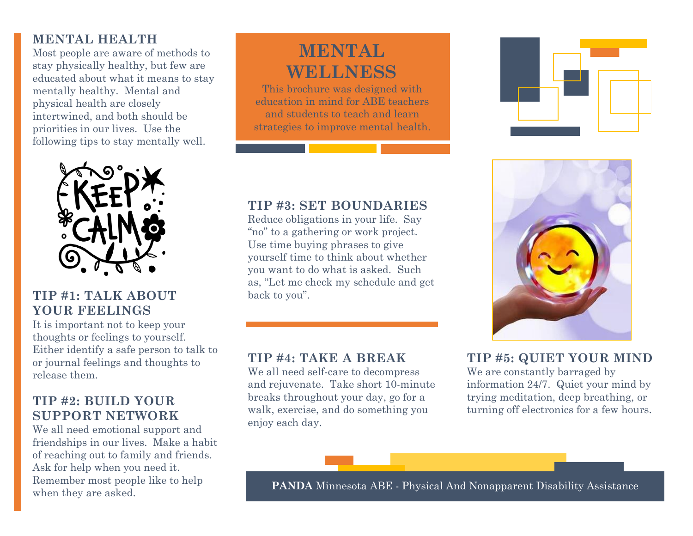# **MENTAL HEALTH**

Most people are aware of methods to stay physically healthy, but few are educated about what it means to stay mentally healthy. Mental and physical health are closely intertwined, and both should be priorities in our lives. Use the following tips to stay mentally well.



### **TIP #1: TALK ABOUT YOUR FEELINGS**

It is important not to keep your thoughts or feelings to yourself. Either identify a safe person to talk to or journal feelings and thoughts to release them.

### **TIP #2: BUILD YOUR SUPPORT NETWORK**

We all need emotional support and friendships in our lives. Make a habit of reaching out to family and friends. Ask for help when you need it. Remember most people like to help when they are asked.

# **MENTAL WELLNESS**

This brochure was designed with education in mind for ABE teachers and students to teach and learn strategies to improve mental health.





# **TIP #3: SET BOUNDARIES**

Reduce obligations in your life. Say "no" to a gathering or work project. Use time buying phrases to give yourself time to think about whether you want to do what is asked. Such as, "Let me check my schedule and get back to you".

### **TIP #4: TAKE A BREAK**

We all need self-care to decompress and rejuvenate. Take short 10-minute breaks throughout your day, go for a walk, exercise, and do something you enjoy each day.

### **TIP #5: QUIET YOUR MIND**

We are constantly barraged by information 24/7. Quiet your mind by trying meditation, deep breathing, or turning off electronics for a few hours.